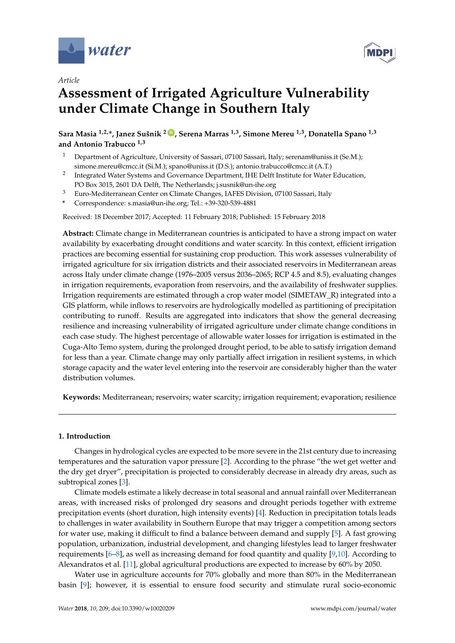





# **Assessment of Irrigated Agriculture Vulnerability under Climate Change in Southern Italy**

**Sara Masia 1,2,\*, Janez Sušnik <sup>2</sup> [ID](https://orcid.org/0000-0002-8814-0168) , Serena Marras 1,3, Simone Mereu 1,3, Donatella Spano 1,3 and Antonio Trabucco 1,3**

- <sup>1</sup> Department of Agriculture, University of Sassari, 07100 Sassari, Italy; serenam@uniss.it (Se.M.); simone.mereu@cmcc.it (Si.M.); spano@uniss.it (D.S.); antonio.trabucco@cmcc.it (A.T.)
- 2 Integrated Water Systems and Governance Department, IHE Delft Institute for Water Education, PO Box 3015, 2601 DA Delft, The Netherlands; j.susnik@un-ihe.org
- <sup>3</sup> Euro-Mediterranean Center on Climate Changes, IAFES Division, 07100 Sassari, Italy
- **\*** Correspondence: s.masia@un-ihe.org; Tel.: +39-320-539-4881

Received: 18 December 2017; Accepted: 11 February 2018; Published: 15 February 2018

**Abstract:** Climate change in Mediterranean countries is anticipated to have a strong impact on water availability by exacerbating drought conditions and water scarcity. In this context, efficient irrigation practices are becoming essential for sustaining crop production. This work assesses vulnerability of irrigated agriculture for six irrigation districts and their associated reservoirs in Mediterranean areas across Italy under climate change (1976–2005 versus 2036–2065; RCP 4.5 and 8.5), evaluating changes in irrigation requirements, evaporation from reservoirs, and the availability of freshwater supplies. Irrigation requirements are estimated through a crop water model (SIMETAW\_R) integrated into a GIS platform, while inflows to reservoirs are hydrologically modelled as partitioning of precipitation contributing to runoff. Results are aggregated into indicators that show the general decreasing resilience and increasing vulnerability of irrigated agriculture under climate change conditions in each case study. The highest percentage of allowable water losses for irrigation is estimated in the Cuga-Alto Temo system, during the prolonged drought period, to be able to satisfy irrigation demand for less than a year. Climate change may only partially affect irrigation in resilient systems, in which storage capacity and the water level entering into the reservoir are considerably higher than the water distribution volumes.

**Keywords:** Mediterranean; reservoirs; water scarcity; irrigation requirement; evaporation; resilience

#### **1. Introduction**

Changes in hydrological cycles are expected to be more severe in the 21st century due to increasing temperatures and the saturation vapor pressure [\[2\]](#page-14-0). According to the phrase "the wet get wetter and the dry get dryer", precipitation is projected to considerably decrease in already dry areas, such as subtropical zones [\[3\]](#page-14-1).

Climate models estimate a likely decrease in total seasonal and annual rainfall over Mediterranean areas, with increased risks of prolonged dry seasons and drought periods together with extreme precipitation events (short duration, high intensity events) [\[4\]](#page-14-2). Reduction in precipitation totals leads to challenges in water availability in Southern Europe that may trigger a competition among sectors for water use, making it difficult to find a balance between demand and supply [\[5\]](#page-14-3). A fast growing population, urbanization, industrial development, and changing lifestyles lead to larger freshwater requirements  $[6–8]$  $[6–8]$ , as well as increasing demand for food quantity and quality  $[9,10]$  $[9,10]$ . According to Alexandratos et al. [\[11\]](#page-15-2), global agricultural productions are expected to increase by 60% by 2050.

Water use in agriculture accounts for 70% globally and more than 80% in the Mediterranean basin [\[9\]](#page-15-0); however, it is essential to ensure food security and stimulate rural socio-economic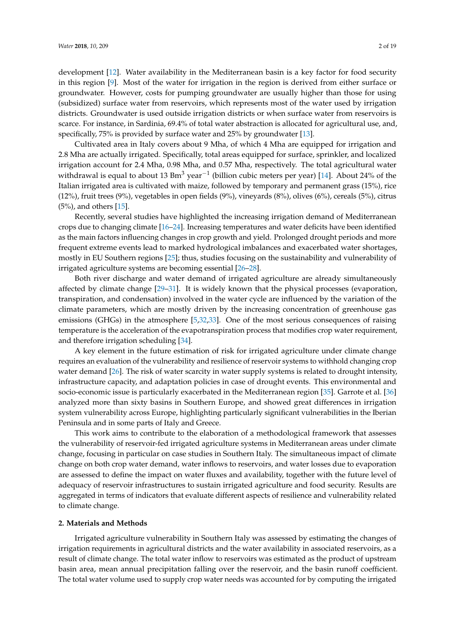development [\[12\]](#page-15-3). Water availability in the Mediterranean basin is a key factor for food security in this region [\[9\]](#page-15-0). Most of the water for irrigation in the region is derived from either surface or groundwater. However, costs for pumping groundwater are usually higher than those for using (subsidized) surface water from reservoirs, which represents most of the water used by irrigation districts. Groundwater is used outside irrigation districts or when surface water from reservoirs is scarce. For instance, in Sardinia, 69.4% of total water abstraction is allocated for agricultural use, and, specifically, 75% is provided by surface water and 25% by groundwater [\[13\]](#page-15-4).

Cultivated area in Italy covers about 9 Mha, of which 4 Mha are equipped for irrigation and 2.8 Mha are actually irrigated. Specifically, total areas equipped for surface, sprinkler, and localized irrigation account for 2.4 Mha, 0.98 Mha, and 0.57 Mha, respectively. The total agricultural water withdrawal is equal to about 13 Bm<sup>3</sup> year<sup>-1</sup> (billion cubic meters per year) [\[14\]](#page-15-5). About 24% of the Italian irrigated area is cultivated with maize, followed by temporary and permanent grass (15%), rice (12%), fruit trees (9%), vegetables in open fields (9%), vineyards (8%), olives (6%), cereals (5%), citrus (5%), and others [\[15\]](#page-15-6).

Recently, several studies have highlighted the increasing irrigation demand of Mediterranean crops due to changing climate [\[16](#page-15-7)[–24\]](#page-15-8). Increasing temperatures and water deficits have been identified as the main factors influencing changes in crop growth and yield. Prolonged drought periods and more frequent extreme events lead to marked hydrological imbalances and exacerbated water shortages, mostly in EU Southern regions [\[25\]](#page-15-9); thus, studies focusing on the sustainability and vulnerability of irrigated agriculture systems are becoming essential [\[26](#page-15-10)[–28\]](#page-15-11).

Both river discharge and water demand of irrigated agriculture are already simultaneously affected by climate change [\[29](#page-15-12)[–31\]](#page-16-0). It is widely known that the physical processes (evaporation, transpiration, and condensation) involved in the water cycle are influenced by the variation of the climate parameters, which are mostly driven by the increasing concentration of greenhouse gas emissions (GHGs) in the atmosphere [\[5,](#page-14-3)[32,](#page-16-1)[33\]](#page-16-2). One of the most serious consequences of raising temperature is the acceleration of the evapotranspiration process that modifies crop water requirement, and therefore irrigation scheduling [\[34\]](#page-16-3).

A key element in the future estimation of risk for irrigated agriculture under climate change requires an evaluation of the vulnerability and resilience of reservoir systems to withhold changing crop water demand [\[26\]](#page-15-10). The risk of water scarcity in water supply systems is related to drought intensity, infrastructure capacity, and adaptation policies in case of drought events. This environmental and socio-economic issue is particularly exacerbated in the Mediterranean region [\[35\]](#page-16-4). Garrote et al. [\[36\]](#page-16-5) analyzed more than sixty basins in Southern Europe, and showed great differences in irrigation system vulnerability across Europe, highlighting particularly significant vulnerabilities in the Iberian Peninsula and in some parts of Italy and Greece.

This work aims to contribute to the elaboration of a methodological framework that assesses the vulnerability of reservoir-fed irrigated agriculture systems in Mediterranean areas under climate change, focusing in particular on case studies in Southern Italy. The simultaneous impact of climate change on both crop water demand, water inflows to reservoirs, and water losses due to evaporation are assessed to define the impact on water fluxes and availability, together with the future level of adequacy of reservoir infrastructures to sustain irrigated agriculture and food security. Results are aggregated in terms of indicators that evaluate different aspects of resilience and vulnerability related to climate change.

#### **2. Materials and Methods**

Irrigated agriculture vulnerability in Southern Italy was assessed by estimating the changes of irrigation requirements in agricultural districts and the water availability in associated reservoirs, as a result of climate change. The total water inflow to reservoirs was estimated as the product of upstream basin area, mean annual precipitation falling over the reservoir, and the basin runoff coefficient. The total water volume used to supply crop water needs was accounted for by computing the irrigated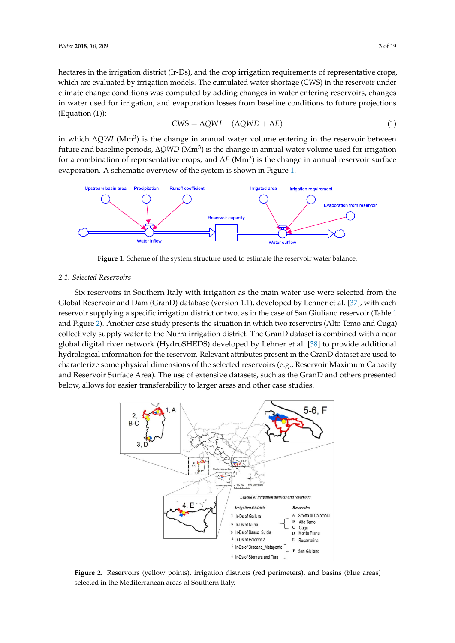hectares in the irrigation district (Ir-Ds), and the crop irrigation requirements of representative crops, which are evaluated by irrigation models. The cumulated water shortage (CWS) in the reservoir under climate change conditions was computed by adding changes in water entering reservoirs, changes in water used for irrigation, and evaporation losses from baseline conditions to future projections (Equation (1)): *P*  $(1)$ : **2018** *2018* **<b>***2018* **<b>***2018 2018* **<b>***2018* **<b>***2018 2018* **<b>***2018 2018* **<b>***2018 2018***</del>** 

$$
CWS = \Delta QWI - (\Delta QWD + \Delta E) \tag{1}
$$

in which ∆*QWI* (Mm<sup>3</sup> ) is the change in annual water volume entering in the reservoir between future and baseline periods, ∆QWD (Mm<sup>3</sup>) is the change in annual water volume used for irrigation for a combination of representative crops, and  $\Delta E$  (Mm<sup>3</sup>) is the change in annual reservoir surface evaporation. A schematic overview of the system is shown in Figure [1.](#page-2-0)  $\Delta Q$ *WI* (Mm<sup>3</sup>) is the change in annual water volume entering in the reservoir b *in a* schematic overview of the system is shown in Figure 1.

<span id="page-2-0"></span>

**Figure 1.** Scheme of the system structure used to estimate the reservoir water balance. **Figure 1.** Scheme of the system structure used to estimate the reservoir water balance.

#### *2.1. Selected Reservoirs 2.1. Selected Reservoirs* **Figure 1.** Scheme of the system structure used to estimate the reservoir water balance.

Six reservoirs in Southern Italy with irrigation as the main water use were selected from the Global Reservoir and Dam (GranD) database (version 1.1), developed by Lehner et al. [\[37\]](#page-16-6), with each supplying a specific irrigation district or two, as in the case of  $\sim$   $\frac{1}{\sqrt{2}}$ reservoir supplying a specific irrigation district or two, as in the case of San Giuliano reservoir (Table [1](#page-3-0)) and Figure [2\)](#page-2-1). Another case study presents the situation in which two reservoirs (Alto Temo and Cuga) collectively supply water to the Nurra irrigation district. The GranD dataset is combined with a near global digital river network (HydroSHEDS) developed by Lehner et al. [\[38\]](#page-16-7) to provide additional hydrological information for the reservoir. Relevant attributes present in the GranD dataset are used to characterize some physical dimensions of the selected reservoirs (e.g., Reservoir Maximum Capacity and Reservoir Surface Area). The use of extensive datasets, such as the GranD and others presented and research surface Thea). The use of extensive datasets, such as the GranD and others presented below, allows for easier transferability to larger areas and other case studies. supplying a specific irrigation district or two, as in the case of San Giuliano reservoir (Table 1 and Figure anows for <del>c</del>asier transferability to larger areas a

<span id="page-2-1"></span>

Figure 2. Reservoirs (yellow points), irrigation districts (red perimeters), and basins (blue areas) selected in the Mediterranean areas of Southern Italy.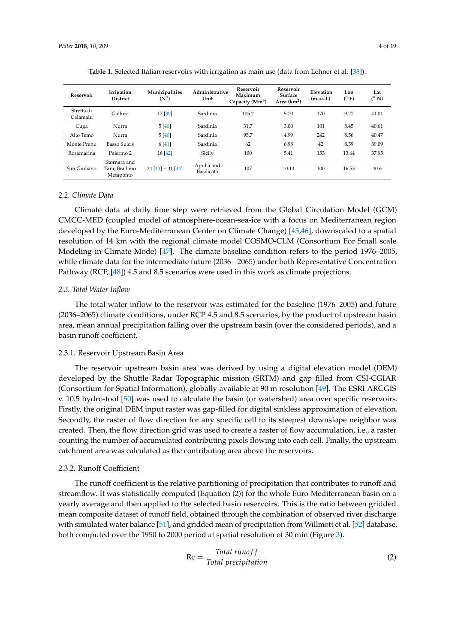<span id="page-3-0"></span>

| Reservoir              | Irrigation<br><b>District</b>              | Municipalities<br>$(N^{\circ})$ | Administrative<br>Unit   | Reservoir<br>Maximum<br>Capacity $(Mm3)$ | Reservoir<br>Surface<br>Area $(km^2)$ | Elevation<br>(m.a.s.1.) | Lon<br>$(^{\circ}E)$ | Lat<br>$(^{\circ}N)$ |
|------------------------|--------------------------------------------|---------------------------------|--------------------------|------------------------------------------|---------------------------------------|-------------------------|----------------------|----------------------|
| Stretta di<br>Calamaiu | Gallura                                    | 17 [39]                         | Sardinia                 | 105.2                                    | 5.70                                  | 170                     | 9.27                 | 41.01                |
| Cuga                   | Nurra                                      | 5[40]                           | Sardinia                 | 31.7                                     | 3.00                                  | 101                     | 8.45                 | 40.61                |
| Alto Temo              | Nurra                                      | 5[40]                           | Sardinia                 | 95.7                                     | 4.99                                  | 242                     | 8.56                 | 40.47                |
| Monte Pranu            | <b>Basso Sulcis</b>                        | 6[41]                           | Sardinia                 | 62                                       | 6.98                                  | 42                      | 8.59                 | 39.09                |
| Rosamarina             | Palermo <sub>2</sub>                       | 16[42]                          | Sicily                   | 100                                      | 5.41                                  | 153                     | 13.64                | 37.95                |
| San Giuliano           | Stornara and<br>Tara; Bradano<br>Metaponto | $24[43]+31[44]$                 | Apulia and<br>Basilicata | 107                                      | 10.14                                 | 100                     | 16.53                | 40.6                 |

| Table 1. Selected Italian reservoirs with irrigation as main use (data from Lehner et al. [38]). |  |  |  |
|--------------------------------------------------------------------------------------------------|--|--|--|
|--------------------------------------------------------------------------------------------------|--|--|--|

#### <span id="page-3-1"></span>*2.2. Climate Data*

Climate data at daily time step were retrieved from the Global Circulation Model (GCM) CMCC-MED (coupled model of atmosphere-ocean-sea-ice with a focus on Mediterranean region developed by the Euro-Mediterranean Center on Climate Change) [\[45](#page-16-14)[,46\]](#page-16-15), downscaled to a spatial resolution of 14 km with the regional climate model COSMO-CLM (Consortium For Small scale Modeling in Climate Mode) [\[47\]](#page-16-16). The climate baseline condition refers to the period 1976–2005, while climate data for the intermediate future (2036−2065) under both Representative Concentration Pathway (RCP, [\[48\]](#page-16-17)) 4.5 and 8.5 scenarios were used in this work as climate projections.

#### *2.3. Total Water Inflow*

The total water inflow to the reservoir was estimated for the baseline (1976–2005) and future (2036–2065) climate conditions, under RCP 4.5 and 8.5 scenarios, by the product of upstream basin area, mean annual precipitation falling over the upstream basin (over the considered periods), and a basin runoff coefficient.

#### <span id="page-3-2"></span>2.3.1. Reservoir Upstream Basin Area

The reservoir upstream basin area was derived by using a digital elevation model (DEM) developed by the Shuttle Radar Topographic mission (SRTM) and gap filled from CSI-CGIAR (Consortium for Spatial Information), globally available at 90 m resolution [\[49\]](#page-16-18). The ESRI ARCGIS v. 10.5 hydro-tool [\[50\]](#page-16-19) was used to calculate the basin (or watershed) area over specific reservoirs. Firstly, the original DEM input raster was gap-filled for digital sinkless approximation of elevation. Secondly, the raster of flow direction for any specific cell to its steepest downslope neighbor was created. Then, the flow direction grid was used to create a raster of flow accumulation, i.e., a raster counting the number of accumulated contributing pixels flowing into each cell. Finally, the upstream catchment area was calculated as the contributing area above the reservoirs.

#### 2.3.2. Runoff Coefficient

The runoff coefficient is the relative partitioning of precipitation that contributes to runoff and streamflow. It was statistically computed (Equation (2)) for the whole Euro-Mediterranean basin on a yearly average and then applied to the selected basin reservoirs. This is the ratio between gridded mean composite dataset of runoff field, obtained through the combination of observed river discharge with simulated water balance [\[51\]](#page-17-0), and gridded mean of precipitation from Willmott et al. [\[52\]](#page-17-1) database, both computed over the 1950 to 2000 period at spatial resolution of 30 min (Figure [3\)](#page-4-0).

$$
Rc = \frac{Total\ runoff}{Total\ precipitation}
$$
 (2)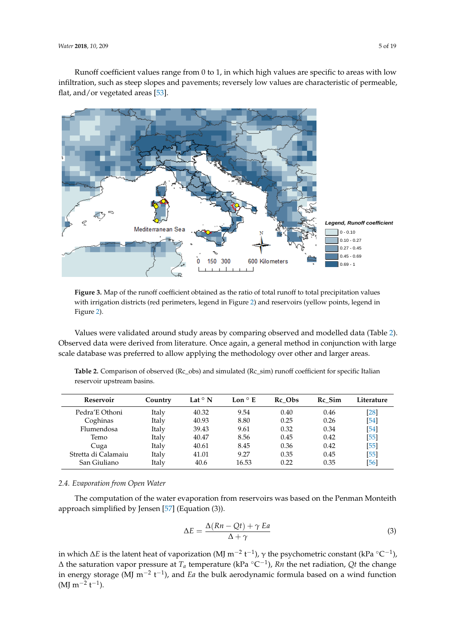Runoff coefficient values range from 0 to 1, in which high values are specific to areas with low Runoff coefficient values range from 0 to 1, in which high values are specific to areas with low infiltration, such as steep slopes and pavements; reversely low values are characteristic of permeable,  $\,$ flat, and/or vegetated areas [\[53\]](#page-17-2). and/or vegetated areas [52].

<span id="page-4-0"></span>

Figure 3. Map of the runoff coefficient obtained as the ratio of total runoff to total precipitation values with irrigation districts (red perimeters, legend in Figure [2\)](#page-2-1) and reservoirs (yellow points, legend in With irrigation districts (red perimeters, legend in Figure 2) and reservoirs (yellow points, legend in  $\Omega$ Figure [2\)](#page-2-1).

 $\overline{O}(n)$  and  $\overline{O}(n)$ , and literature. Once again, a general method in conjunction with large scales with large scales scales scales with large scales with large scales with large scales with large scales with large s Values were validated around study areas by comparing observed and modelled data (Table [2\)](#page-4-1).<br>Clarent by the contract of the contract of the contract of the contract of the contract of the contract of the scale database was preferred to allow applying the methodology over other and larger areas. Observed data were derived from literature. Once again, a general method in conjunction with large

<span id="page-4-1"></span>

| Table 2. Comparison of observed (Rc_obs) and simulated (Rc_sim) runoff coefficient for specific Italian |
|---------------------------------------------------------------------------------------------------------|
| reservoir upstream basins.                                                                              |

| Reservoir           | Country | Lat $\circ$ N | Lon $\circ$ E | Rc Obs | Rc Sim | Literature |
|---------------------|---------|---------------|---------------|--------|--------|------------|
| Pedra'E Othoni      | Italy   | 40.32         | 9.54          | 0.40   | 0.46   | [28]       |
| Coghinas            | Italy   | 40.93         | 8.80          | 0.25   | 0.26   | [54]       |
| Flumendosa          | Italy   | 39.43         | 9.61          | 0.32   | 0.34   | [54]       |
| Temo                | Italy   | 40.47         | 8.56          | 0.45   | 0.42   | $[55]$     |
| Cuga                | Italy   | 40.61         | 8.45          | 0.36   | 0.42   | $[55]$     |
| Stretta di Calamaiu | Italy   | 41.01         | 9.27          | 0.35   | 0.45   | $[55]$     |
| San Giuliano        | Italy   | 40.6          | 16.53         | 0.22   | 0.35   | [56]       |

### 2.4. Evaporation from Open Water

aporation from reservoir. The computation of the water evaporation from reservoirs was based on the Penman Monteith approach simplified by Jensen [\[57\]](#page-17-6) (Equation (3)).

$$
\Delta E = \frac{\Delta (Rn - Qt) + \gamma \, Ea}{\Delta + \gamma} \tag{3}
$$

in which ∆*E* is the latent heat of vaporization (MJ m<sup>−2</sup> t<sup>−1</sup>), γ the psychometric constant (kPa °C<sup>−1</sup>),  $\Delta$  the saturation vapor pressure at  $T_a$  temperature (kPa  $^{\circ}$ C<sup>-1</sup>), *Rn* the net radiation, *Qt* the change in energy storage (MJ m<sup>−2</sup> t<sup>−1</sup>), and *Ea* the bulk aerodynamic formula based on a wind function  $(MJ m^{-2} t^{-1}).$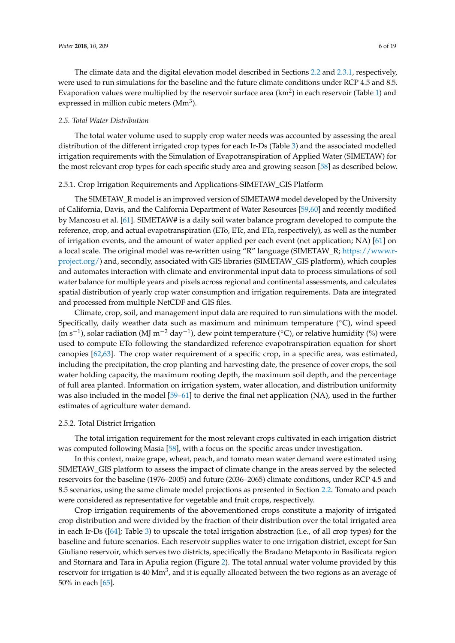The climate data and the digital elevation model described in Sections [2.2](#page-3-1) and [2.3.1,](#page-3-2) respectively, were used to run simulations for the baseline and the future climate conditions under RCP 4.5 and 8.5. Evaporation values were multiplied by the reservoir surface area (km<sup>2</sup>) in each reservoir (Table [1\)](#page-3-0) and expressed in million cubic meters (Mm<sup>3</sup>).

#### *2.5. Total Water Distribution*

The total water volume used to supply crop water needs was accounted by assessing the areal distribution of the different irrigated crop types for each Ir-Ds (Table [3\)](#page-6-0) and the associated modelled irrigation requirements with the Simulation of Evapotranspiration of Applied Water (SIMETAW) for the most relevant crop types for each specific study area and growing season [\[58\]](#page-17-7) as described below.

#### 2.5.1. Crop Irrigation Requirements and Applications-SIMETAW\_GIS Platform

The SIMETAW\_R model is an improved version of SIMETAW# model developed by the University of California, Davis, and the California Department of Water Resources [\[59](#page-17-8)[,60\]](#page-17-9) and recently modified by Mancosu et al. [\[61\]](#page-17-10). SIMETAW# is a daily soil water balance program developed to compute the reference, crop, and actual evapotranspiration (ETo, ETc, and ETa, respectively), as well as the number of irrigation events, and the amount of water applied per each event (net application; NA) [\[61\]](#page-17-10) on a local scale. The original model was re-written using "R" language (SIMETAW\_R; [https://www.r](https://www.r-project.org/)[project.org/\)](https://www.r-project.org/) and, secondly, associated with GIS libraries (SIMETAW\_GIS platform), which couples and automates interaction with climate and environmental input data to process simulations of soil water balance for multiple years and pixels across regional and continental assessments, and calculates spatial distribution of yearly crop water consumption and irrigation requirements. Data are integrated and processed from multiple NetCDF and GIS files.

Climate, crop, soil, and management input data are required to run simulations with the model. Specifically, daily weather data such as maximum and minimum temperature  $(\degree C)$ , wind speed (m s<sup>-1</sup>), solar radiation (MJ m<sup>-2</sup> day<sup>-1</sup>), dew point temperature (°C), or relative humidity (%) were used to compute ETo following the standardized reference evapotranspiration equation for short canopies [\[62](#page-17-11)[,63\]](#page-17-12). The crop water requirement of a specific crop, in a specific area, was estimated, including the precipitation, the crop planting and harvesting date, the presence of cover crops, the soil water holding capacity, the maximum rooting depth, the maximum soil depth, and the percentage of full area planted. Information on irrigation system, water allocation, and distribution uniformity was also included in the model [\[59–](#page-17-8)[61\]](#page-17-10) to derive the final net application (NA), used in the further estimates of agriculture water demand.

#### 2.5.2. Total District Irrigation

The total irrigation requirement for the most relevant crops cultivated in each irrigation district was computed following Masia [\[58\]](#page-17-7), with a focus on the specific areas under investigation.

In this context, maize grape, wheat, peach, and tomato mean water demand were estimated using SIMETAW\_GIS platform to assess the impact of climate change in the areas served by the selected reservoirs for the baseline (1976–2005) and future (2036–2065) climate conditions, under RCP 4.5 and 8.5 scenarios, using the same climate model projections as presented in Section [2.2.](#page-3-1) Tomato and peach were considered as representative for vegetable and fruit crops, respectively.

Crop irrigation requirements of the abovementioned crops constitute a majority of irrigated crop distribution and were divided by the fraction of their distribution over the total irrigated area in each Ir-Ds ([\[64\]](#page-17-13); Table [3\)](#page-6-0) to upscale the total irrigation abstraction (i.e., of all crop types) for the baseline and future scenarios. Each reservoir supplies water to one irrigation district, except for San Giuliano reservoir, which serves two districts, specifically the Bradano Metaponto in Basilicata region and Stornara and Tara in Apulia region (Figure [2\)](#page-2-1). The total annual water volume provided by this reservoir for irrigation is  $40 \text{ Mm}^3$ , and it is equally allocated between the two regions as an average of 50% in each [\[65\]](#page-17-14).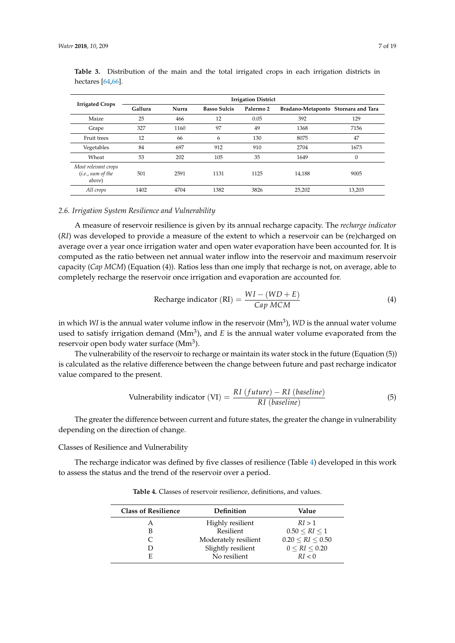| <b>Irrigated Crops</b>                              | <b>Irrigation District</b> |       |                     |                      |                                     |                |  |  |  |
|-----------------------------------------------------|----------------------------|-------|---------------------|----------------------|-------------------------------------|----------------|--|--|--|
|                                                     | Gallura                    | Nurra | <b>Basso Sulcis</b> | Palermo <sub>2</sub> | Bradano-Metaponto Stornara and Tara |                |  |  |  |
| Maize                                               | 25                         | 466   | 12                  | 0.05                 | 392                                 | 129            |  |  |  |
| Grape                                               | 327                        | 1160  | 97                  | 49                   | 1368                                | 7156           |  |  |  |
| Fruit trees                                         | 12                         | 66    | 6                   | 130                  | 8075                                | 47             |  |  |  |
| Vegetables                                          | 84                         | 697   | 912                 | 910                  | 2704                                | 1673           |  |  |  |
| Wheat                                               | 53                         | 202   | 105                 | 35                   | 1649                                | $\overline{0}$ |  |  |  |
| Most relevant crops<br>(i.e., sum of the)<br>above) | 501                        | 2591  | 1131                | 1125                 | 14.188                              | 9005           |  |  |  |
| All crops                                           | 1402                       | 4704  | 1382                | 3826                 | 25,202                              | 13,203         |  |  |  |

<span id="page-6-0"></span>**Table 3.** Distribution of the main and the total irrigated crops in each irrigation districts in hectares [\[64,](#page-17-13)[66\]](#page-17-15).

#### *2.6. Irrigation System Resilience and Vulnerability*

A measure of reservoir resilience is given by its annual recharge capacity. The *recharge indicator* (*RI*) was developed to provide a measure of the extent to which a reservoir can be (re)charged on average over a year once irrigation water and open water evaporation have been accounted for. It is computed as the ratio between net annual water inflow into the reservoir and maximum reservoir capacity (*Cap MCM*) (Equation (4)). Ratios less than one imply that recharge is not, on average, able to completely recharge the reservoir once irrigation and evaporation are accounted for.

Recharge indicator (RI) = 
$$
\frac{WI - (WD + E)}{Cap MCM}
$$
 (4)

in which *WI* is the annual water volume inflow in the reservoir (Mm<sup>3</sup> ), *WD* is the annual water volume used to satisfy irrigation demand ( $Mm<sup>3</sup>$ ), and  $E$  is the annual water volume evaporated from the reservoir open body water surface (Mm<sup>3</sup>).

The vulnerability of the reservoir to recharge or maintain its water stock in the future (Equation (5)) is calculated as the relative difference between the change between future and past recharge indicator value compared to the present.

Vulnerability indicator (VI) = 
$$
\frac{RI \ (future) - RI \ (baseline)}{RI \ (baseline)}
$$
 (5)

The greater the difference between current and future states, the greater the change in vulnerability depending on the direction of change.

Classes of Resilience and Vulnerability

<span id="page-6-1"></span>The recharge indicator was defined by five classes of resilience (Table [4\)](#page-6-1) developed in this work to assess the status and the trend of the reservoir over a period.

**Table 4.** Classes of reservoir resilience, definitions, and values.

| <b>Class of Resilience</b> | Definition           | Value                              |
|----------------------------|----------------------|------------------------------------|
| А                          | Highly resilient     | RI > 1                             |
| В                          | Resilient            | $0.50 \leq R$ <i>I</i> $\leq 1$    |
|                            | Moderately resilient | $0.20 \leq R$ <i>I</i> $\leq 0.50$ |
|                            | Slightly resilient   | 0 < RI < 0.20                      |
| E                          | No resilient         | RI < 0                             |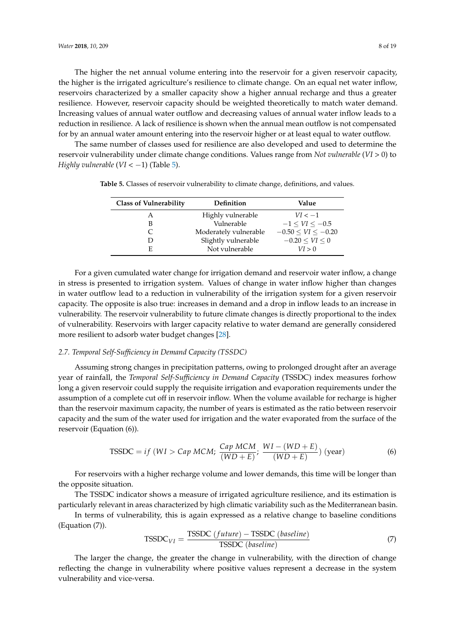The higher the net annual volume entering into the reservoir for a given reservoir capacity, the higher is the irrigated agriculture's resilience to climate change. On an equal net water inflow, reservoirs characterized by a smaller capacity show a higher annual recharge and thus a greater resilience. However, reservoir capacity should be weighted theoretically to match water demand. Increasing values of annual water outflow and decreasing values of annual water inflow leads to a reduction in resilience. A lack of resilience is shown when the annual mean outflow is not compensated for by an annual water amount entering into the reservoir higher or at least equal to water outflow.

<span id="page-7-0"></span>The same number of classes used for resilience are also developed and used to determine the reservoir vulnerability under climate change conditions. Values range from *Not vulnerable* (*VI* > 0) to *Highly vulnerable* ( $VI < -1$ ) (Table [5\)](#page-7-0).

| <b>Class of Vulnerability</b> | <b>Definition</b>     | Value                      |  |  |  |
|-------------------------------|-----------------------|----------------------------|--|--|--|
| А                             | Highly vulnerable     | $VI < -1$                  |  |  |  |
| в                             | Vulnerable            | $-1 < VI < -0.5$           |  |  |  |
|                               | Moderately vulnerable | $-0.50 \leq VI \leq -0.20$ |  |  |  |
|                               | Slightly vulnerable   | $-0.20 \le VI \le 0$       |  |  |  |
| E                             | Not vulnerable        | VI > 0                     |  |  |  |

**Table 5.** Classes of reservoir vulnerability to climate change, definitions, and values.

For a given cumulated water change for irrigation demand and reservoir water inflow, a change in stress is presented to irrigation system. Values of change in water inflow higher than changes in water outflow lead to a reduction in vulnerability of the irrigation system for a given reservoir capacity. The opposite is also true: increases in demand and a drop in inflow leads to an increase in vulnerability. The reservoir vulnerability to future climate changes is directly proportional to the index of vulnerability. Reservoirs with larger capacity relative to water demand are generally considered more resilient to adsorb water budget changes [\[28\]](#page-15-11).

#### *2.7. Temporal Self-Sufficiency in Demand Capacity (TSSDC)*

Assuming strong changes in precipitation patterns, owing to prolonged drought after an average year of rainfall, the *Temporal Self-Sufficiency in Demand Capacity* (TSSDC) index measures forhow long a given reservoir could supply the requisite irrigation and evaporation requirements under the assumption of a complete cut off in reservoir inflow. When the volume available for recharge is higher than the reservoir maximum capacity, the number of years is estimated as the ratio between reservoir capacity and the sum of the water used for irrigation and the water evaporated from the surface of the reservoir (Equation (6)).

$$
\text{TSSDC} = if (WI > Cap MCM; \frac{Cap MCM}{(WD+E)}; \frac{WI - (WD+E)}{(WD+E)} \text{ (year)} \tag{6}
$$

For reservoirs with a higher recharge volume and lower demands, this time will be longer than the opposite situation.

The TSSDC indicator shows a measure of irrigated agriculture resilience, and its estimation is particularly relevant in areas characterized by high climatic variability such as the Mediterranean basin.

In terms of vulnerability, this is again expressed as a relative change to baseline conditions (Equation (7)).

$$
TSSDC_{VI} = \frac{TSSDC \ (future) - TSSDC \ (baseline)}{TSSDC \ (baseline)}
$$
\n(7)

The larger the change, the greater the change in vulnerability, with the direction of change reflecting the change in vulnerability where positive values represent a decrease in the system vulnerability and vice-versa.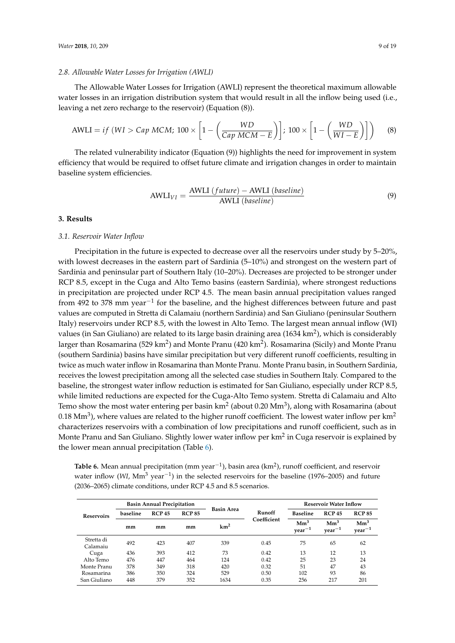#### *2.8. Allowable Water Losses for Irrigation (AWLI)*

The Allowable Water Losses for Irrigation (AWLI) represent the theoretical maximum allowable water losses in an irrigation distribution system that would result in all the inflow being used (i.e., leaving a net zero recharge to the reservoir) (Equation (8)).

$$
\text{AWLI} = if \ (WI > \text{Cap MCM}; \ 100 \times \left[1 - \left(\frac{WD}{\text{Cap MCM} - E}\right)\right]; \ 100 \times \left[1 - \left(\frac{WD}{WI - E}\right)\right] \tag{8}
$$

The related vulnerability indicator (Equation (9)) highlights the need for improvement in system efficiency that would be required to offset future climate and irrigation changes in order to maintain baseline system efficiencies.

$$
AWLI_{VI} = \frac{AWLI (future) - AWLI (baseline)}{AWLI (baseline)}
$$
\n(9)

#### **3. Results**

#### *3.1. Reservoir Water Inflow*

Precipitation in the future is expected to decrease over all the reservoirs under study by 5–20%, with lowest decreases in the eastern part of Sardinia (5–10%) and strongest on the western part of Sardinia and peninsular part of Southern Italy (10–20%). Decreases are projected to be stronger under RCP 8.5, except in the Cuga and Alto Temo basins (eastern Sardinia), where strongest reductions in precipitation are projected under RCP 4.5. The mean basin annual precipitation values ranged from 492 to 378 mm year<sup>-1</sup> for the baseline, and the highest differences between future and past values are computed in Stretta di Calamaiu (northern Sardinia) and San Giuliano (peninsular Southern Italy) reservoirs under RCP 8.5, with the lowest in Alto Temo. The largest mean annual inflow (WI) values (in San Giuliano) are related to its large basin draining area (1634 km<sup>2</sup>), which is considerably larger than Rosamarina (529 km<sup>2</sup>) and Monte Pranu (420 km<sup>2</sup>). Rosamarina (Sicily) and Monte Pranu (southern Sardinia) basins have similar precipitation but very different runoff coefficients, resulting in twice as much water inflow in Rosamarina than Monte Pranu. Monte Pranu basin, in Southern Sardinia, receives the lowest precipitation among all the selected case studies in Southern Italy. Compared to the baseline, the strongest water inflow reduction is estimated for San Giuliano, especially under RCP 8.5, while limited reductions are expected for the Cuga-Alto Temo system. Stretta di Calamaiu and Alto Temo show the most water entering per basin km $^2$  (about 0.20 Mm $^3$ ), along with Rosamarina (about  $0.18 \text{ Mm}^3$ ), where values are related to the higher runoff coefficient. The lowest water inflow per km<sup>2</sup> characterizes reservoirs with a combination of low precipitations and runoff coefficient, such as in Monte Pranu and San Giuliano. Slightly lower water inflow per km $^2$  in Cuga reservoir is explained by the lower mean annual precipitation (Table [6\)](#page-8-0).

<span id="page-8-0"></span>Table 6. Mean annual precipitation (mm year<sup>-1</sup>), basin area (km<sup>2</sup>), runoff coefficient, and reservoir water inflow (WI, Mm<sup>3</sup> year<sup>-1</sup>) in the selected reservoirs for the baseline (1976–2005) and future (2036–2065) climate conditions, under RCP 4.5 and 8.5 scenarios.

|                        |          | <b>Basin Annual Precipitation</b> |     |                   |             | <b>Reservoir Water Inflow</b>       |                           |                             |  |
|------------------------|----------|-----------------------------------|-----|-------------------|-------------|-------------------------------------|---------------------------|-----------------------------|--|
| <b>Reservoirs</b>      | baseline | <b>RCP 85</b><br><b>RCP 45</b>    |     | <b>Basin Area</b> | Runoff      | <b>Baseline</b>                     | <b>RCP 45</b>             | <b>RCP 85</b>               |  |
|                        | mm       | mm                                | mm  | km <sup>2</sup>   | Coefficient | $\mathrm{Mm}^3$<br>$\rm{year}^{-1}$ | $\text{Mm}^3$<br>$year-1$ | $\mathrm{Mm}^3$<br>$year-1$ |  |
| Stretta di<br>Calamaiu | 492      | 423                               | 407 | 339               | 0.45        | 75                                  | 65                        | 62                          |  |
| Cuga                   | 436      | 393                               | 412 | 73                | 0.42        | 13                                  | 12                        | 13                          |  |
| Alto Temo              | 476      | 447                               | 464 | 124               | 0.42        | 25                                  | 23                        | 24                          |  |
| Monte Pranu            | 378      | 349                               | 318 | 420               | 0.32        | 51                                  | 47                        | 43                          |  |
| Rosamarina             | 386      | 350                               | 324 | 529               | 0.50        | 102                                 | 93                        | 86                          |  |
| San Giuliano           | 448      | 379                               | 352 | 1634              | 0.35        | 256                                 | 217                       | 201                         |  |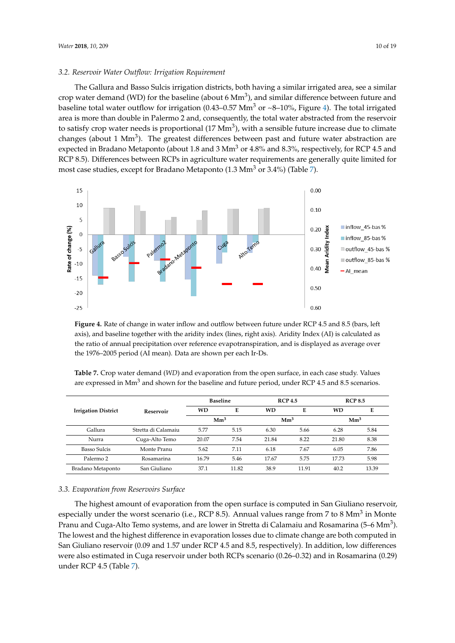#### *3.2. Reservoir Water Outflow: Irrigation Requirement*

The Gallura and Basso Sulcis irrigation districts, both having a similar irrigated area, see a similar crop water demand (WD) for the baseline (about 6  $Mm<sup>3</sup>$ ), and similar difference between future and baseline total water outflow for irrigation (0.43–0.57 Mm<sup>3</sup> or ~8–10%, Figure [4\)](#page-9-0). The total irrigated area is more than double in Palermo 2 and, consequently, the total water abstracted from the reservoir to satisfy crop water needs is proportional (17  $\text{Mm}^3$ ), with a sensible future increase due to climate changes (about 1 Mm<sup>3</sup>). The greatest differences between past and future water abstraction are expected in Bradano Metaponto (about 1.8 and 3 Mm<sup>3</sup> or 4.8% and 8.3%, respectively, for RCP 4.5 and RCP 8.5). Differences between RCPs in agriculture water requirements are generally quite limited for most case studies, except for Bradano Metaponto (1.3 Mm<sup>3</sup> or 3.4%) (Table [7\)](#page-9-1).

<span id="page-9-0"></span>

Figure 4. Rate of change in water inflow and outflow between future under RCP 4.5 and 8.5 (bars, left axis), and baseline together with the aridity index (lines, right axis). Aridity Index (AI) is calculated as the ratio of annual precipitation over reference evapotranspiration, and is displayed as average over the 1976–2005 period (AI mean). Data are shown per each Ir-Ds.

<span id="page-9-1"></span>

| Table 7. Crop water demand (WD) and evaporation from the open surface, in each case study. Values               |  |
|-----------------------------------------------------------------------------------------------------------------|--|
| are expressed in Mm <sup>3</sup> and shown for the baseline and future period, under RCP 4.5 and 8.5 scenarios. |  |

|                                   |                     |                 | <b>Baseline</b> |                 | <b>RCP 4.5</b> | <b>RCP 8.5</b>  |       |
|-----------------------------------|---------------------|-----------------|-----------------|-----------------|----------------|-----------------|-------|
| <b>Irrigation District</b>        | Reservoir           | <b>WD</b>       | Е               | <b>WD</b>       | Е              | <b>WD</b>       | Е     |
|                                   |                     | $\mathrm{Mm}^3$ |                 | Mm <sup>3</sup> |                | Mm <sup>3</sup> |       |
| Gallura                           | Stretta di Calamaiu | 5.77            | 5.15            | 6.30            | 5.66           | 6.28            | 5.84  |
| Nurra                             | Cuga-Alto Temo      | 20.07           | 7.54            | 21.84           | 8.22           | 21.80           | 8.38  |
| <b>Basso Sulcis</b>               | Monte Pranu         | 5.62            | 7.11            | 6.18            | 7.67           | 6.05            | 7.86  |
| Palermo <sub>2</sub>              | Rosamarina          | 16.79           | 5.46            | 17.67           | 5.75           | 17.73           | 5.98  |
| San Giuliano<br>Bradano Metaponto |                     | 37.1            | 11.82           | 38.9            | 11.91          | 40.2            | 13.39 |

## *3.3. Evaporation from Reservoirs Surface* The highest amount of evaporation from the open surface is computed in San Giuliano reservoir, *3.3. Evaporation from Reservoirs Surface*

The highest amount of evaporation from the open surface is computed in San Giuliano reservoir, especially under the worst scenario (i.e., RCP 8.5). Annual values range from 7 to 8 Mm<sup>3</sup> in Monte Pranu and Cuga-Alto Temo systems, and are lower in Stretta di Calamaiu and Rosamarina (5–6 Mm<sup>3</sup>). The lowest and the highest difference in evaporation losses due to climate change are both computed in San Giuliano reservoir (0.09 and 1.57 under RCP 4.5 and 8.5, respectively). In addition, low differences were also estimated in Cuga reservoir under both RCPs scenario (0.26-0.32) and in Rosamarina (0.29) *3.4. Resilience and Vulnerability of the Irrigated Agriculture* under RCP 4.5 (Table [7\)](#page-9-1).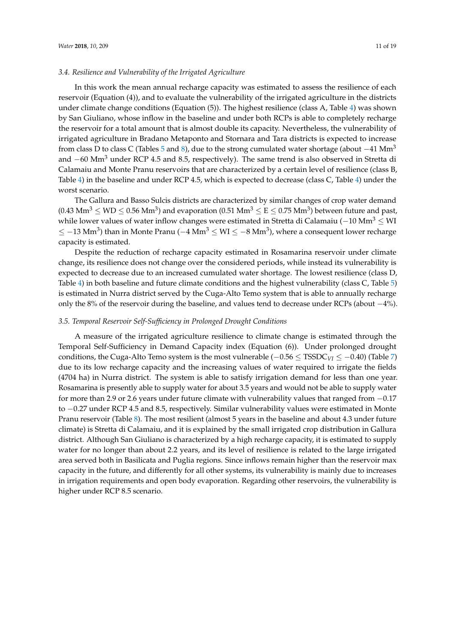#### *3.4. Resilience and Vulnerability of the Irrigated Agriculture*

In this work the mean annual recharge capacity was estimated to assess the resilience of each reservoir (Equation (4)), and to evaluate the vulnerability of the irrigated agriculture in the districts under climate change conditions (Equation (5)). The highest resilience (class A, Table [4\)](#page-6-1) was shown by San Giuliano, whose inflow in the baseline and under both RCPs is able to completely recharge the reservoir for a total amount that is almost double its capacity. Nevertheless, the vulnerability of irrigated agriculture in Bradano Metaponto and Stornara and Tara districts is expected to increase from class D to class C (Tables [5](#page-7-0) and [8\)](#page-11-0), due to the strong cumulated water shortage (about  $-41$  Mm<sup>3</sup> and  $-60$  Mm<sup>3</sup> under RCP 4.5 and 8.5, respectively). The same trend is also observed in Stretta di Calamaiu and Monte Pranu reservoirs that are characterized by a certain level of resilience (class B, Table [4\)](#page-6-1) in the baseline and under RCP 4.5, which is expected to decrease (class C, Table [4\)](#page-6-1) under the worst scenario.

The Gallura and Basso Sulcis districts are characterized by similar changes of crop water demand (0.43 Mm $^3$   $\leq$  WD  $\leq$  0.56 Mm $^3$ ) and evaporation (0.51 Mm $^3$   $\leq$  E  $\leq$  0.75 Mm $^3$ ) between future and past, while lower values of water inflow changes were estimated in Stretta di Calamaiu ( $-10 \text{ Mm}^3 \leq \text{WI}$  $\leq -13$  Mm $^3$ ) than in Monte Pranu ( $-4$  Mm $^3$   $\leq$  WI  $\leq -8$  Mm $^3$ ), where a consequent lower recharge capacity is estimated.

Despite the reduction of recharge capacity estimated in Rosamarina reservoir under climate change, its resilience does not change over the considered periods, while instead its vulnerability is expected to decrease due to an increased cumulated water shortage. The lowest resilience (class D, Table [4\)](#page-6-1) in both baseline and future climate conditions and the highest vulnerability (class C, Table [5\)](#page-7-0) is estimated in Nurra district served by the Cuga-Alto Temo system that is able to annually recharge only the 8% of the reservoir during the baseline, and values tend to decrease under RCPs (about −4%).

#### *3.5. Temporal Reservoir Self-Sufficiency in Prolonged Drought Conditions*

A measure of the irrigated agriculture resilience to climate change is estimated through the Temporal Self-Sufficiency in Demand Capacity index (Equation (6)). Under prolonged drought conditions, the Cuga-Alto Temo system is the most vulnerable (−0.56 ≤ TSSDC*VI* ≤ −0.40) (Table [7\)](#page-9-1) due to its low recharge capacity and the increasing values of water required to irrigate the fields (4704 ha) in Nurra district. The system is able to satisfy irrigation demand for less than one year. Rosamarina is presently able to supply water for about 3.5 years and would not be able to supply water for more than 2.9 or 2.6 years under future climate with vulnerability values that ranged from −0.17 to −0.27 under RCP 4.5 and 8.5, respectively. Similar vulnerability values were estimated in Monte Pranu reservoir (Table [8\)](#page-11-0). The most resilient (almost 5 years in the baseline and about 4.3 under future climate) is Stretta di Calamaiu, and it is explained by the small irrigated crop distribution in Gallura district. Although San Giuliano is characterized by a high recharge capacity, it is estimated to supply water for no longer than about 2.2 years, and its level of resilience is related to the large irrigated area served both in Basilicata and Puglia regions. Since inflows remain higher than the reservoir max capacity in the future, and differently for all other systems, its vulnerability is mainly due to increases in irrigation requirements and open body evaporation. Regarding other reservoirs, the vulnerability is higher under RCP 8.5 scenario.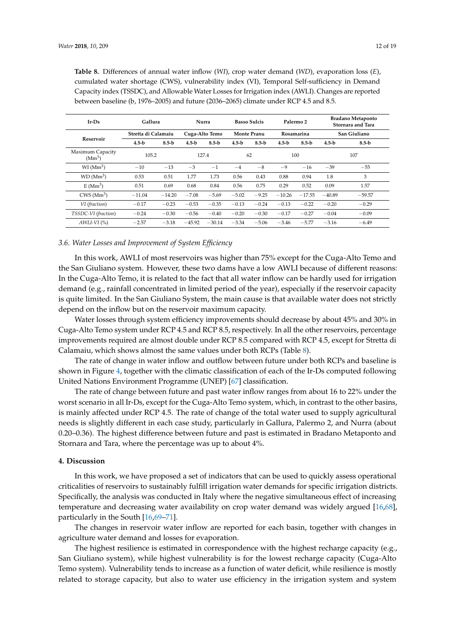| $Ir-Ds$                                | Gallura             |          | Nurra          |          | <b>Basso Sulcis</b> |           | Palermo <sub>2</sub> |           | <b>Bradano Metaponto</b><br>Stornara and Tara |           |
|----------------------------------------|---------------------|----------|----------------|----------|---------------------|-----------|----------------------|-----------|-----------------------------------------------|-----------|
|                                        | Stretta di Calamaiu |          | Cuga-Alto Temo |          | <b>Monte Pranu</b>  |           | Rosamarina           |           | San Giuliano                                  |           |
| Reservoir                              | $4.5-b$             | $8.5-b$  | $4.5-b$        | $8.5-b$  | $4.5-h$             | $8.5 - b$ | $4.5-b$              | $8.5 - b$ | $4.5-h$                                       | $8.5 - b$ |
| Maximum Capacity<br>(Mm <sup>3</sup> ) | 105.2               |          | 127.4          |          | 62                  |           | 100                  |           | 107                                           |           |
| $WI$ (Mm <sup>3</sup> )                | $-10$               | $-13$    | $-3$           | $-1$     | $-4$                | $-8$      | $-9$                 | $-16$     | $-39$                                         | $-55$     |
| WD (Mm <sup>3</sup> )                  | 0.53                | 0.51     | 1.77           | 1.73     | 0.56                | 0.43      | 0.88                 | 0.94      | 1.8                                           | 3         |
| E(Mm <sup>3</sup> )                    | 0.51                | 0.69     | 0.68           | 0.84     | 0.56                | 0.75      | 0.29                 | 0.52      | 0.09                                          | 1.57      |
| CWS(Mm <sup>3</sup> )                  | $-11.04$            | $-14.20$ | $-7.08$        | $-5.69$  | $-5.02$             | $-9.25$   | $-10.26$             | $-17.55$  | $-40.89$                                      | $-59.57$  |
| VI (fraction)                          | $-0.17$             | $-0.23$  | $-0.53$        | $-0.35$  | $-0.13$             | $-0.24$   | $-0.13$              | $-0.22$   | $-0.20$                                       | $-0.29$   |
| TSSDC-VI (fraction)                    | $-0.24$             | $-0.30$  | $-0.56$        | $-0.40$  | $-0.20$             | $-0.30$   | $-0.17$              | $-0.27$   | $-0.04$                                       | $-0.09$   |
| $AWLI-VI$ (%)                          | $-2.57$             | $-3.18$  | $-45.92$       | $-30.14$ | $-3.34$             | $-5.06$   | $-3.46$              | $-5.77$   | $-3.16$                                       | $-6.49$   |

<span id="page-11-0"></span>**Table 8.** Differences of annual water inflow (*WI*), crop water demand (*WD*), evaporation loss (*E*), cumulated water shortage (CWS), vulnerability index (VI), Temporal Self-sufficiency in Demand Capacity index (TSSDC), and Allowable Water Losses for Irrigation index (AWLI). Changes are reported between baseline (b, 1976–2005) and future (2036–2065) climate under RCP 4.5 and 8.5.

#### *3.6. Water Losses and Improvement of System Efficiency*

In this work, AWLI of most reservoirs was higher than 75% except for the Cuga-Alto Temo and the San Giuliano system. However, these two dams have a low AWLI because of different reasons: In the Cuga-Alto Temo, it is related to the fact that all water inflow can be hardly used for irrigation demand (e.g., rainfall concentrated in limited period of the year), especially if the reservoir capacity is quite limited. In the San Giuliano System, the main cause is that available water does not strictly depend on the inflow but on the reservoir maximum capacity.

Water losses through system efficiency improvements should decrease by about 45% and 30% in Cuga-Alto Temo system under RCP 4.5 and RCP 8.5, respectively. In all the other reservoirs, percentage improvements required are almost double under RCP 8.5 compared with RCP 4.5, except for Stretta di Calamaiu, which shows almost the same values under both RCPs (Table [8\)](#page-11-0).

The rate of change in water inflow and outflow between future under both RCPs and baseline is shown in Figure [4,](#page-9-0) together with the climatic classification of each of the Ir-Ds computed following United Nations Environment Programme (UNEP) [\[67\]](#page-17-16) classification.

The rate of change between future and past water inflow ranges from about 16 to 22% under the worst scenario in all Ir-Ds, except for the Cuga-Alto Temo system, which, in contrast to the other basins, is mainly affected under RCP 4.5. The rate of change of the total water used to supply agricultural needs is slightly different in each case study, particularly in Gallura, Palermo 2, and Nurra (about 0.20–0.36). The highest difference between future and past is estimated in Bradano Metaponto and Stornara and Tara, where the percentage was up to about 4%.

#### **4. Discussion**

In this work, we have proposed a set of indicators that can be used to quickly assess operational criticalities of reservoirs to sustainably fulfill irrigation water demands for specific irrigation districts. Specifically, the analysis was conducted in Italy where the negative simultaneous effect of increasing temperature and decreasing water availability on crop water demand was widely argued [\[16,](#page-15-7)[68\]](#page-17-17), particularly in the South [\[16](#page-15-7)[,69–](#page-17-18)[71\]](#page-17-19).

The changes in reservoir water inflow are reported for each basin, together with changes in agriculture water demand and losses for evaporation.

The highest resilience is estimated in correspondence with the highest recharge capacity (e.g., San Giuliano system), while highest vulnerability is for the lowest recharge capacity (Cuga-Alto Temo system). Vulnerability tends to increase as a function of water deficit, while resilience is mostly related to storage capacity, but also to water use efficiency in the irrigation system and system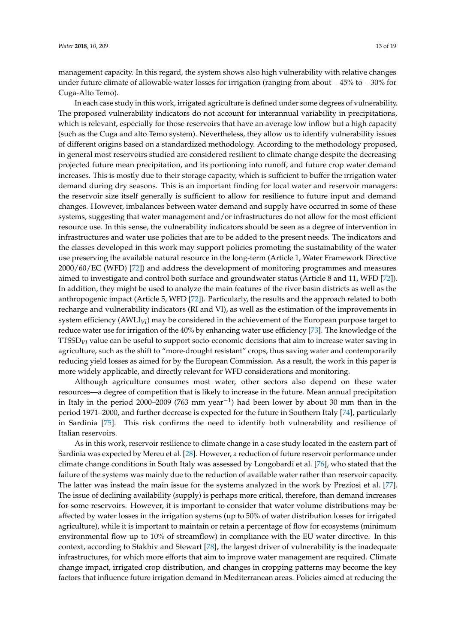management capacity. In this regard, the system shows also high vulnerability with relative changes under future climate of allowable water losses for irrigation (ranging from about −45% to −30% for Cuga-Alto Temo).

In each case study in this work, irrigated agriculture is defined under some degrees of vulnerability. The proposed vulnerability indicators do not account for interannual variability in precipitations, which is relevant, especially for those reservoirs that have an average low inflow but a high capacity (such as the Cuga and alto Temo system). Nevertheless, they allow us to identify vulnerability issues of different origins based on a standardized methodology. According to the methodology proposed, in general most reservoirs studied are considered resilient to climate change despite the decreasing projected future mean precipitation, and its portioning into runoff, and future crop water demand increases. This is mostly due to their storage capacity, which is sufficient to buffer the irrigation water demand during dry seasons. This is an important finding for local water and reservoir managers: the reservoir size itself generally is sufficient to allow for resilience to future input and demand changes. However, imbalances between water demand and supply have occurred in some of these systems, suggesting that water management and/or infrastructures do not allow for the most efficient resource use. In this sense, the vulnerability indicators should be seen as a degree of intervention in infrastructures and water use policies that are to be added to the present needs. The indicators and the classes developed in this work may support policies promoting the sustainability of the water use preserving the available natural resource in the long-term (Article 1, Water Framework Directive 2000/60/EC (WFD) [\[72\]](#page-17-20)) and address the development of monitoring programmes and measures aimed to investigate and control both surface and groundwater status (Article 8 and 11, WFD [\[72\]](#page-17-20)). In addition, they might be used to analyze the main features of the river basin districts as well as the anthropogenic impact (Article 5, WFD [\[72\]](#page-17-20)). Particularly, the results and the approach related to both recharge and vulnerability indicators (RI and VI), as well as the estimation of the improvements in system efficiency (AWLI*VI*) may be considered in the achievement of the European purpose target to reduce water use for irrigation of the 40% by enhancing water use efficiency [\[73\]](#page-17-21). The knowledge of the TTSSD*VI* value can be useful to support socio-economic decisions that aim to increase water saving in agriculture, such as the shift to "more-drought resistant" crops, thus saving water and contemporarily reducing yield losses as aimed for by the European Commission. As a result, the work in this paper is more widely applicable, and directly relevant for WFD considerations and monitoring.

Although agriculture consumes most water, other sectors also depend on these water resources—a degree of competition that is likely to increase in the future. Mean annual precipitation in Italy in the period 2000–2009 (763 mm year−<sup>1</sup> ) had been lower by about 30 mm than in the period 1971–2000, and further decrease is expected for the future in Southern Italy [\[74\]](#page-18-0), particularly in Sardinia [\[75\]](#page-18-1). This risk confirms the need to identify both vulnerability and resilience of Italian reservoirs.

As in this work, reservoir resilience to climate change in a case study located in the eastern part of Sardinia was expected by Mereu et al. [\[28\]](#page-15-11). However, a reduction of future reservoir performance under climate change conditions in South Italy was assessed by Longobardi et al. [\[76\]](#page-18-2), who stated that the failure of the systems was mainly due to the reduction of available water rather than reservoir capacity. The latter was instead the main issue for the systems analyzed in the work by Preziosi et al. [\[77\]](#page-18-3). The issue of declining availability (supply) is perhaps more critical, therefore, than demand increases for some reservoirs. However, it is important to consider that water volume distributions may be affected by water losses in the irrigation systems (up to 50% of water distribution losses for irrigated agriculture), while it is important to maintain or retain a percentage of flow for ecosystems (minimum environmental flow up to 10% of streamflow) in compliance with the EU water directive. In this context, according to Stakhiv and Stewart [\[78\]](#page-18-4), the largest driver of vulnerability is the inadequate infrastructures, for which more efforts that aim to improve water management are required. Climate change impact, irrigated crop distribution, and changes in cropping patterns may become the key factors that influence future irrigation demand in Mediterranean areas. Policies aimed at reducing the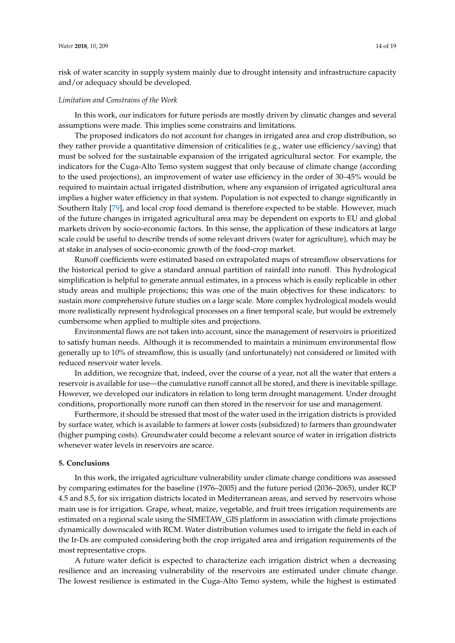risk of water scarcity in supply system mainly due to drought intensity and infrastructure capacity and/or adequacy should be developed.

#### *Limitation and Constrains of the Work*

In this work, our indicators for future periods are mostly driven by climatic changes and several assumptions were made. This implies some constrains and limitations.

The proposed indicators do not account for changes in irrigated area and crop distribution, so they rather provide a quantitative dimension of criticalities (e.g., water use efficiency/saving) that must be solved for the sustainable expansion of the irrigated agricultural sector. For example, the indicators for the Cuga-Alto Temo system suggest that only because of climate change (according to the used projections), an improvement of water use efficiency in the order of 30–45% would be required to maintain actual irrigated distribution, where any expansion of irrigated agricultural area implies a higher water efficiency in that system. Population is not expected to change significantly in Southern Italy [\[79\]](#page-18-5), and local crop food demand is therefore expected to be stable. However, much of the future changes in irrigated agricultural area may be dependent on exports to EU and global markets driven by socio-economic factors. In this sense, the application of these indicators at large scale could be useful to describe trends of some relevant drivers (water for agriculture), which may be at stake in analyses of socio-economic growth of the food-crop market.

Runoff coefficients were estimated based on extrapolated maps of streamflow observations for the historical period to give a standard annual partition of rainfall into runoff. This hydrological simplification is helpful to generate annual estimates, in a process which is easily replicable in other study areas and multiple projections; this was one of the main objectives for these indicators: to sustain more comprehensive future studies on a large scale. More complex hydrological models would more realistically represent hydrological processes on a finer temporal scale, but would be extremely cumbersome when applied to multiple sites and projections.

Environmental flows are not taken into account, since the management of reservoirs is prioritized to satisfy human needs. Although it is recommended to maintain a minimum environmental flow generally up to 10% of streamflow, this is usually (and unfortunately) not considered or limited with reduced reservoir water levels.

In addition, we recognize that, indeed, over the course of a year, not all the water that enters a reservoir is available for use—the cumulative runoff cannot all be stored, and there is inevitable spillage. However, we developed our indicators in relation to long term drought management. Under drought conditions, proportionally more runoff can then stored in the reservoir for use and management.

Furthermore, it should be stressed that most of the water used in the irrigation districts is provided by surface water, which is available to farmers at lower costs (subsidized) to farmers than groundwater (higher pumping costs). Groundwater could become a relevant source of water in irrigation districts whenever water levels in reservoirs are scarce.

#### **5. Conclusions**

In this work, the irrigated agriculture vulnerability under climate change conditions was assessed by comparing estimates for the baseline (1976–2005) and the future period (2036–2065), under RCP 4.5 and 8.5, for six irrigation districts located in Mediterranean areas, and served by reservoirs whose main use is for irrigation. Grape, wheat, maize, vegetable, and fruit trees irrigation requirements are estimated on a regional scale using the SIMETAW\_GIS platform in association with climate projections dynamically downscaled with RCM. Water distribution volumes used to irrigate the field in each of the Ir-Ds are computed considering both the crop irrigated area and irrigation requirements of the most representative crops.

A future water deficit is expected to characterize each irrigation district when a decreasing resilience and an increasing vulnerability of the reservoirs are estimated under climate change. The lowest resilience is estimated in the Cuga-Alto Temo system, while the highest is estimated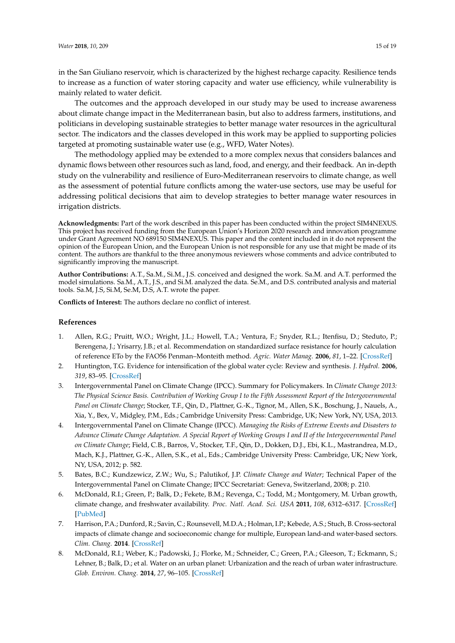in the San Giuliano reservoir, which is characterized by the highest recharge capacity. Resilience tends to increase as a function of water storing capacity and water use efficiency, while vulnerability is mainly related to water deficit.

The outcomes and the approach developed in our study may be used to increase awareness about climate change impact in the Mediterranean basin, but also to address farmers, institutions, and politicians in developing sustainable strategies to better manage water resources in the agricultural sector. The indicators and the classes developed in this work may be applied to supporting policies targeted at promoting sustainable water use (e.g., WFD, Water Notes).

The methodology applied may be extended to a more complex nexus that considers balances and dynamic flows between other resources such as land, food, and energy, and their feedback. An in-depth study on the vulnerability and resilience of Euro-Mediterranean reservoirs to climate change, as well as the assessment of potential future conflicts among the water-use sectors, use may be useful for addressing political decisions that aim to develop strategies to better manage water resources in irrigation districts.

**Acknowledgments:** Part of the work described in this paper has been conducted within the project SIM4NEXUS. This project has received funding from the European Union's Horizon 2020 research and innovation programme under Grant Agreement NO 689150 SIM4NEXUS. This paper and the content included in it do not represent the opinion of the European Union, and the European Union is not responsible for any use that might be made of its content. The authors are thankful to the three anonymous reviewers whose comments and advice contributed to significantly improving the manuscript.

**Author Contributions:** A.T., Sa.M., Si.M., J.S. conceived and designed the work. Sa.M. and A.T. performed the model simulations. Sa.M., A.T., J.S., and Si.M. analyzed the data. Se.M., and D.S. contributed analysis and material tools. Sa.M, J.S, Si.M, Se.M, D.S, A.T. wrote the paper.

**Conflicts of Interest:** The authors declare no conflict of interest.

#### **References**

- 1. Allen, R.G.; Pruitt, W.O.; Wright, J.L.; Howell, T.A.; Ventura, F.; Snyder, R.L.; Itenfisu, D.; Steduto, P.; Berengena, J.; Yrisarry, J.B.; et al. Recommendation on standardized surface resistance for hourly calculation of reference ETo by the FAO56 Penman–Monteith method. *Agric. Water Manag.* **2006**, *81*, 1–22. [\[CrossRef\]](http://dx.doi.org/10.1016/j.agwat.2005.03.007)
- <span id="page-14-0"></span>2. Huntington, T.G. Evidence for intensification of the global water cycle: Review and synthesis. *J. Hydrol.* **2006**, *319*, 83–95. [\[CrossRef\]](http://dx.doi.org/10.1016/j.jhydrol.2005.07.003)
- <span id="page-14-1"></span>3. Intergovernmental Panel on Climate Change (IPCC). Summary for Policymakers. In *Climate Change 2013: The Physical Science Basis. Contribution of Working Group I to the Fifth Assessment Report of the Intergovernmental Panel on Climate Change*; Stocker, T.F., Qin, D., Plattner, G.-K., Tignor, M., Allen, S.K., Boschung, J., Nauels, A., Xia, Y., Bex, V., Midgley, P.M., Eds.; Cambridge University Press: Cambridge, UK; New York, NY, USA, 2013.
- <span id="page-14-2"></span>4. Intergovernmental Panel on Climate Change (IPCC). *Managing the Risks of Extreme Events and Disasters to Advance Climate Change Adaptation. A Special Report of Working Groups I and II of the Intergovernmental Panel on Climate Change*; Field, C.B., Barros, V., Stocker, T.F., Qin, D., Dokken, D.J., Ebi, K.L., Mastrandrea, M.D., Mach, K.J., Plattner, G.-K., Allen, S.K., et al., Eds.; Cambridge University Press: Cambridge, UK; New York, NY, USA, 2012; p. 582.
- <span id="page-14-3"></span>5. Bates, B.C.; Kundzewicz, Z.W.; Wu, S.; Palutikof, J.P. *Climate Change and Water*; Technical Paper of the Intergovernmental Panel on Climate Change; IPCC Secretariat: Geneva, Switzerland, 2008; p. 210.
- <span id="page-14-4"></span>6. McDonald, R.I.; Green, P.; Balk, D.; Fekete, B.M.; Revenga, C.; Todd, M.; Montgomery, M. Urban growth, climate change, and freshwater availability. *Proc. Natl. Acad. Sci. USA* **2011**, *108*, 6312–6317. [\[CrossRef\]](http://dx.doi.org/10.1073/pnas.1011615108) [\[PubMed\]](http://www.ncbi.nlm.nih.gov/pubmed/21444797)
- 7. Harrison, P.A.; Dunford, R.; Savin, C.; Rounsevell, M.D.A.; Holman, I.P.; Kebede, A.S.; Stuch, B. Cross-sectoral impacts of climate change and socioeconomic change for multiple, European land-and water-based sectors. *Clim. Chang.* **2014**. [\[CrossRef\]](http://dx.doi.org/10.1007/s10584-014-1239-4)
- <span id="page-14-5"></span>8. McDonald, R.I.; Weber, K.; Padowski, J.; Florke, M.; Schneider, C.; Green, P.A.; Gleeson, T.; Eckmann, S.; Lehner, B.; Balk, D.; et al. Water on an urban planet: Urbanization and the reach of urban water infrastructure. *Glob. Environ. Chang.* **2014**, *27*, 96–105. [\[CrossRef\]](http://dx.doi.org/10.1016/j.gloenvcha.2014.04.022)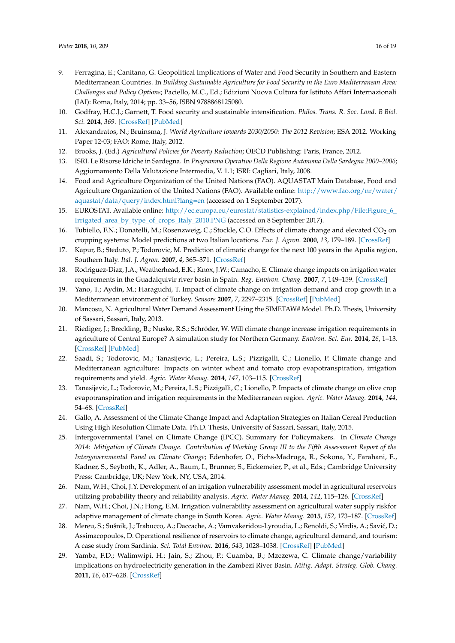- <span id="page-15-0"></span>9. Ferragina, E.; Canitano, G. Geopolitical Implications of Water and Food Security in Southern and Eastern Mediterranean Countries. In *Building Sustainable Agriculture for Food Security in the Euro Mediterranean Area: Challenges and Policy Options*; Paciello, M.C., Ed.; Edizioni Nuova Cultura for Istituto Affari Internazionali (IAI): Roma, Italy, 2014; pp. 33–56, ISBN 9788868125080.
- <span id="page-15-1"></span>10. Godfray, H.C.J.; Garnett, T. Food security and sustainable intensification. *Philos. Trans. R. Soc. Lond. B Biol. Sci.* **2014**, *369*. [\[CrossRef\]](http://dx.doi.org/10.1098/rstb.2012.0273) [\[PubMed\]](http://www.ncbi.nlm.nih.gov/pubmed/24535385)
- <span id="page-15-2"></span>11. Alexandratos, N.; Bruinsma, J. *World Agriculture towards 2030/2050: The 2012 Revision*; ESA 2012. Working Paper 12-03; FAO: Rome, Italy, 2012.
- <span id="page-15-3"></span>12. Brooks, J. (Ed.) *Agricultural Policies for Poverty Reduction*; OECD Publishing: Paris, France, 2012.
- <span id="page-15-4"></span>13. ISRI. Le Risorse Idriche in Sardegna. In *Programma Operativo Della Regione Autonoma Della Sardegna 2000–2006*; Aggiornamento Della Valutazione Intermedia, V. 1.1; ISRI: Cagliari, Italy, 2008.
- <span id="page-15-5"></span>14. Food and Agriculture Organization of the United Nations (FAO). AQUASTAT Main Database, Food and Agriculture Organization of the United Nations (FAO). Available online: [http://www.fao.org/nr/water/](http://www.fao.org/nr/water/aquastat/data/query/index.html?lang=en) [aquastat/data/query/index.html?lang=en](http://www.fao.org/nr/water/aquastat/data/query/index.html?lang=en) (accessed on 1 September 2017).
- <span id="page-15-6"></span>15. EUROSTAT. Available online: [http://ec.europa.eu/eurostat/statistics-explained/index.php/File:Figure\\_6\\_](http://ec.europa.eu/eurostat/statistics-explained/index.php/File:Figure_6_Irrigated_area_by_type_of_crops_Italy_2010.PNG) [Irrigated\\_area\\_by\\_type\\_of\\_crops\\_Italy\\_2010.PNG](http://ec.europa.eu/eurostat/statistics-explained/index.php/File:Figure_6_Irrigated_area_by_type_of_crops_Italy_2010.PNG) (accessed on 8 September 2017).
- <span id="page-15-7"></span>16. Tubiello, F.N.; Donatelli, M.; Rosenzweig, C.; Stockle, C.O. Effects of climate change and elevated CO<sub>2</sub> on cropping systems: Model predictions at two Italian locations. *Eur. J. Agron.* **2000**, *13*, 179–189. [\[CrossRef\]](http://dx.doi.org/10.1016/S1161-0301(00)00073-3)
- 17. Kapur, B.; Steduto, P.; Todorovic, M. Prediction of climatic change for the next 100 years in the Apulia region, Southern Italy. *Ital. J. Agron.* **2007**, *4*, 365–371. [\[CrossRef\]](http://dx.doi.org/10.4081/ija.2007.365)
- 18. Rodriguez-Diaz, J.A.; Weatherhead, E.K.; Knox, J.W.; Camacho, E. Climate change impacts on irrigation water requirements in the Guadalquivir river basin in Spain. *Reg. Environ. Chang.* **2007**, *7*, 149–159. [\[CrossRef\]](http://dx.doi.org/10.1007/s10113-007-0035-3)
- 19. Yano, T.; Aydin, M.; Haraguchi, T. Impact of climate change on irrigation demand and crop growth in a Mediterranean environment of Turkey. *Sensors* **2007**, *7*, 2297–2315. [\[CrossRef\]](http://dx.doi.org/10.3390/s7102297) [\[PubMed\]](http://www.ncbi.nlm.nih.gov/pubmed/28903228)
- 20. Mancosu, N. Agricultural Water Demand Assessment Using the SIMETAW# Model. Ph.D. Thesis, University of Sassari, Sassari, Italy, 2013.
- 21. Riediger, J.; Breckling, B.; Nuske, R.S.; Schröder, W. Will climate change increase irrigation requirements in agriculture of Central Europe? A simulation study for Northern Germany. *Environ. Sci. Eur.* **2014**, *26*, 1–13. [\[CrossRef\]](http://dx.doi.org/10.1186/s12302-014-0018-1) [\[PubMed\]](http://www.ncbi.nlm.nih.gov/pubmed/27752416)
- 22. Saadi, S.; Todorovic, M.; Tanasijevic, L.; Pereira, L.S.; Pizzigalli, C.; Lionello, P. Climate change and Mediterranean agriculture: Impacts on winter wheat and tomato crop evapotranspiration, irrigation requirements and yield. *Agric. Water Manag.* **2014**, *147*, 103–115. [\[CrossRef\]](http://dx.doi.org/10.1016/j.agwat.2014.05.008)
- 23. Tanasijevic, L.; Todorovic, M.; Pereira, L.S.; Pizzigalli, C.; Lionello, P. Impacts of climate change on olive crop evapotranspiration and irrigation requirements in the Mediterranean region. *Agric. Water Manag.* **2014**, *144*, 54–68. [\[CrossRef\]](http://dx.doi.org/10.1016/j.agwat.2014.05.019)
- <span id="page-15-8"></span>24. Gallo, A. Assessment of the Climate Change Impact and Adaptation Strategies on Italian Cereal Production Using High Resolution Climate Data. Ph.D. Thesis, University of Sassari, Sassari, Italy, 2015.
- <span id="page-15-9"></span>25. Intergovernmental Panel on Climate Change (IPCC). Summary for Policymakers. In *Climate Change 2014: Mitigation of Climate Change. Contribution of Working Group III to the Fifth Assessment Report of the Intergovernmental Panel on Climate Change*; Edenhofer, O., Pichs-Madruga, R., Sokona, Y., Farahani, E., Kadner, S., Seyboth, K., Adler, A., Baum, I., Brunner, S., Eickemeier, P., et al., Eds.; Cambridge University Press: Cambridge, UK; New York, NY, USA, 2014.
- <span id="page-15-10"></span>26. Nam, W.H.; Choi, J.Y. Development of an irrigation vulnerability assessment model in agricultural reservoirs utilizing probability theory and reliability analysis. *Agric. Water Manag.* **2014**, *142*, 115–126. [\[CrossRef\]](http://dx.doi.org/10.1016/j.agwat.2014.05.009)
- 27. Nam, W.H.; Choi, J.N.; Hong, E.M. Irrigation vulnerability assessment on agricultural water supply riskfor adaptive management of climate change in South Korea. *Agric. Water Manag.* **2015**, *152*, 173–187. [\[CrossRef\]](http://dx.doi.org/10.1016/j.agwat.2015.01.012)
- <span id="page-15-11"></span>28. Mereu, S.; Sušnik, J.; Trabucco, A.; Daccache, A.; Vamvakeridou-Lyroudia, L.; Renoldi, S.; Virdis, A.; Savić, D.; Assimacopoulos, D. Operational resilience of reservoirs to climate change, agricultural demand, and tourism: A case study from Sardinia. *Sci. Total Environ.* **2016**, *543*, 1028–1038. [\[CrossRef\]](http://dx.doi.org/10.1016/j.scitotenv.2015.04.066) [\[PubMed\]](http://www.ncbi.nlm.nih.gov/pubmed/26051595)
- <span id="page-15-12"></span>29. Yamba, F.D.; Walimwipi, H.; Jain, S.; Zhou, P.; Cuamba, B.; Mzezewa, C. Climate change/variability implications on hydroelectricity generation in the Zambezi River Basin. *Mitig. Adapt. Strateg. Glob. Chang.* **2011**, *16*, 617–628. [\[CrossRef\]](http://dx.doi.org/10.1007/s11027-011-9283-0)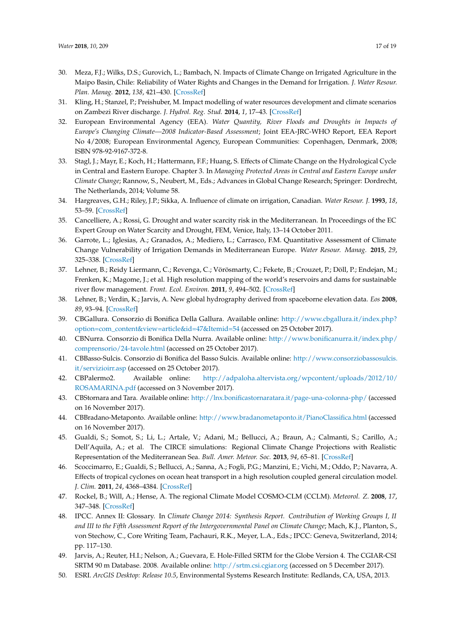- 30. Meza, F.J.; Wilks, D.S.; Gurovich, L.; Bambach, N. Impacts of Climate Change on Irrigated Agriculture in the Maipo Basin, Chile: Reliability of Water Rights and Changes in the Demand for Irrigation. *J. Water Resour. Plan. Manag.* **2012**, *138*, 421–430. [\[CrossRef\]](http://dx.doi.org/10.1061/(ASCE)WR.1943-5452.0000216)
- <span id="page-16-0"></span>31. Kling, H.; Stanzel, P.; Preishuber, M. Impact modelling of water resources development and climate scenarios on Zambezi River discharge. *J. Hydrol. Reg. Stud.* **2014**, *1*, 17–43. [\[CrossRef\]](http://dx.doi.org/10.1016/j.ejrh.2014.05.002)
- <span id="page-16-1"></span>32. European Environmental Agency (EEA). *Water Quantity, River Floods and Droughts in Impacts of Europe's Changing Climate—2008 Indicator-Based Assessment*; Joint EEA-JRC-WHO Report, EEA Report No 4/2008; European Environmental Agency, European Communities: Copenhagen, Denmark, 2008; ISBN 978-92-9167-372-8.
- <span id="page-16-2"></span>33. Stagl, J.; Mayr, E.; Koch, H.; Hattermann, F.F.; Huang, S. Effects of Climate Change on the Hydrological Cycle in Central and Eastern Europe. Chapter 3. In *Managing Protected Areas in Central and Eastern Europe under Climate Change*; Rannow, S., Neubert, M., Eds.; Advances in Global Change Research; Springer: Dordrecht, The Netherlands, 2014; Volume 58.
- <span id="page-16-3"></span>34. Hargreaves, G.H.; Riley, J.P.; Sikka, A. Influence of climate on irrigation, Canadian. *Water Resour. J.* **1993**, *18*, 53–59. [\[CrossRef\]](http://dx.doi.org/10.4296/cwrj1801053)
- <span id="page-16-4"></span>35. Cancelliere, A.; Rossi, G. Drought and water scarcity risk in the Mediterranean. In Proceedings of the EC Expert Group on Water Scarcity and Drought, FEM, Venice, Italy, 13–14 October 2011.
- <span id="page-16-5"></span>36. Garrote, L.; Iglesias, A.; Granados, A.; Mediero, L.; Carrasco, F.M. Quantitative Assessment of Climate Change Vulnerability of Irrigation Demands in Mediterranean Europe. *Water Resour. Manag.* **2015**, *29*, 325–338. [\[CrossRef\]](http://dx.doi.org/10.1007/s11269-014-0736-6)
- <span id="page-16-6"></span>37. Lehner, B.; Reidy Liermann, C.; Revenga, C.; Vörösmarty, C.; Fekete, B.; Crouzet, P.; Döll, P.; Endejan, M.; Frenken, K.; Magome, J.; et al. High resolution mapping of the world's reservoirs and dams for sustainable river flow management. *Front. Ecol. Environ.* **2011**, *9*, 494–502. [\[CrossRef\]](http://dx.doi.org/10.1890/100125)
- <span id="page-16-7"></span>38. Lehner, B.; Verdin, K.; Jarvis, A. New global hydrography derived from spaceborne elevation data. *Eos* **2008**, *89*, 93–94. [\[CrossRef\]](http://dx.doi.org/10.1029/2008EO100001)
- <span id="page-16-8"></span>39. CBGallura. Consorzio di Bonifica Della Gallura. Available online: [http://www.cbgallura.it/index.php?](http://www.cbgallura.it/index.php?option=com_content&view=article&id=47&Itemid=54) [option=com\\_content&view=article&id=47&Itemid=54](http://www.cbgallura.it/index.php?option=com_content&view=article&id=47&Itemid=54) (accessed on 25 October 2017).
- <span id="page-16-9"></span>40. CBNurra. Consorzio di Bonifica Della Nurra. Available online: [http://www.bonificanurra.it/index.php/](http://www.bonificanurra.it/index.php/comprensorio/24-tavole.html) [comprensorio/24-tavole.html](http://www.bonificanurra.it/index.php/comprensorio/24-tavole.html) (accessed on 25 October 2017).
- <span id="page-16-10"></span>41. CBBasso-Sulcis. Consorzio di Bonifica del Basso Sulcis. Available online: [http://www.consorziobassosulcis.](http://www.consorziobassosulcis.it/servizioirr.asp) [it/servizioirr.asp](http://www.consorziobassosulcis.it/servizioirr.asp) (accessed on 25 October 2017).
- <span id="page-16-11"></span>42. CBPalermo2. Available online: [http://adpaloha.altervista.org/wpcontent/uploads/2012/10/](http://adpaloha.altervista.org/wpcontent/uploads/2012/10/ROSAMARINA.pdf) [ROSAMARINA.pdf](http://adpaloha.altervista.org/wpcontent/uploads/2012/10/ROSAMARINA.pdf) (accessed on 3 November 2017).
- <span id="page-16-12"></span>43. CBStornara and Tara. Available online: <http://lnx.bonificastornaratara.it/page-una-colonna-php/> (accessed on 16 November 2017).
- <span id="page-16-13"></span>44. CBBradano-Metaponto. Available online: <http://www.bradanometaponto.it/PianoClassifica.html> (accessed on 16 November 2017).
- <span id="page-16-14"></span>45. Gualdi, S.; Somot, S.; Li, L.; Artale, V.; Adani, M.; Bellucci, A.; Braun, A.; Calmanti, S.; Carillo, A.; Dell'Aquila, A.; et al. The CIRCE simulations: Regional Climate Change Projections with Realistic Representation of the Mediterranean Sea. *Bull. Amer. Meteor. Soc.* **2013**, *94*, 65–81. [\[CrossRef\]](http://dx.doi.org/10.1175/BAMS-D-11-00136.1)
- <span id="page-16-15"></span>46. Scoccimarro, E.; Gualdi, S.; Bellucci, A.; Sanna, A.; Fogli, P.G.; Manzini, E.; Vichi, M.; Oddo, P.; Navarra, A. Effects of tropical cyclones on ocean heat transport in a high resolution coupled general circulation model. *J. Clim.* **2011**, *24*, 4368–4384. [\[CrossRef\]](http://dx.doi.org/10.1175/2011JCLI4104.1)
- <span id="page-16-16"></span>47. Rockel, B.; Will, A.; Hense, A. The regional Climate Model COSMO-CLM (CCLM). *Meteorol. Z.* **2008**, *17*, 347–348. [\[CrossRef\]](http://dx.doi.org/10.1127/0941-2948/2008/0309)
- <span id="page-16-17"></span>48. IPCC. Annex II: Glossary. In *Climate Change 2014: Synthesis Report. Contribution of Working Groups I, II and III to the Fifth Assessment Report of the Intergovernmental Panel on Climate Change*; Mach, K.J., Planton, S., von Stechow, C., Core Writing Team, Pachauri, R.K., Meyer, L.A., Eds.; IPCC: Geneva, Switzerland, 2014; pp. 117–130.
- <span id="page-16-18"></span>49. Jarvis, A.; Reuter, H.I.; Nelson, A.; Guevara, E. Hole-Filled SRTM for the Globe Version 4. The CGIAR-CSI SRTM 90 m Database. 2008. Available online: <http://srtm.csi.cgiar.org> (accessed on 5 December 2017).
- <span id="page-16-19"></span>50. ESRI. *ArcGIS Desktop: Release 10.5*, Environmental Systems Research Institute: Redlands, CA, USA, 2013.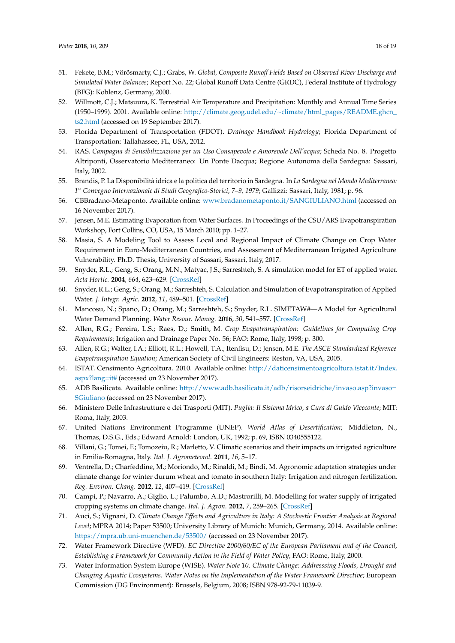- <span id="page-17-0"></span>51. Fekete, B.M.; Vörösmarty, C.J.; Grabs, W. *Global, Composite Runoff Fields Based on Observed River Discharge and Simulated Water Balances*; Report No. 22; Global Runoff Data Centre (GRDC), Federal Institute of Hydrology (BFG): Koblenz, Germany, 2000.
- <span id="page-17-1"></span>52. Willmott, C.J.; Matsuura, K. Terrestrial Air Temperature and Precipitation: Monthly and Annual Time Series (1950–1999). 2001. Available online: [http://climate.geog.udel.edu/~climate/html\\_pages/README.ghcn\\_](http://climate.geog.udel.edu/~climate/html_pages/README.ghcn_ts2.html) [ts2.html](http://climate.geog.udel.edu/~climate/html_pages/README.ghcn_ts2.html) (accessed on 19 September 2017).
- <span id="page-17-2"></span>53. Florida Department of Transportation (FDOT). *Drainage Handbook Hydrology*; Florida Department of Transportation: Tallahassee, FL, USA, 2012.
- <span id="page-17-3"></span>54. RAS. *Campagna di Sensibilizzazione per un Uso Consapevole e Amorevole Dell'acqua*; Scheda No. 8. Progetto Altriponti, Osservatorio Mediterraneo: Un Ponte Dacqua; Regione Autonoma della Sardegna: Sassari, Italy, 2002.
- <span id="page-17-4"></span>55. Brandis, P. La Disponibilità idrica e la politica del territorio in Sardegna. In *La Sardegna nel Mondo Mediterraneo: 1* ◦ *Convegno Internazionale di Studi Geografico-Storici, 7–9, 1979*; Gallizzi: Sassari, Italy, 1981; p. 96.
- <span id="page-17-5"></span>56. CBBradano-Metaponto. Available online: <www.bradanometaponto.it/SANGIULIANO.html> (accessed on 16 November 2017).
- <span id="page-17-6"></span>57. Jensen, M.E. Estimating Evaporation from Water Surfaces. In Proceedings of the CSU/ARS Evapotranspiration Workshop, Fort Collins, CO, USA, 15 March 2010; pp. 1–27.
- <span id="page-17-7"></span>58. Masia, S. A Modeling Tool to Assess Local and Regional Impact of Climate Change on Crop Water Requirement in Euro-Mediterranean Countries, and Assessment of Mediterranean Irrigated Agriculture Vulnerability. Ph.D. Thesis, University of Sassari, Sassari, Italy, 2017.
- <span id="page-17-8"></span>59. Snyder, R.L.; Geng, S.; Orang, M.N.; Matyac, J.S.; Sarreshteh, S. A simulation model for ET of applied water. *Acta Hortic.* **2004**, *664*, 623–629. [\[CrossRef\]](http://dx.doi.org/10.17660/ActaHortic.2004.664.78)
- <span id="page-17-9"></span>60. Snyder, R.L.; Geng, S.; Orang, M.; Sarreshteh, S. Calculation and Simulation of Evapotranspiration of Applied Water. *J. Integr. Agric.* **2012**, *11*, 489–501. [\[CrossRef\]](http://dx.doi.org/10.1016/S2095-3119(12)60035-5)
- <span id="page-17-10"></span>61. Mancosu, N.; Spano, D.; Orang, M.; Sarreshteh, S.; Snyder, R.L. SIMETAW#—A Model for Agricultural Water Demand Planning. *Water Resour. Manag.* **2016**, *30*, 541–557. [\[CrossRef\]](http://dx.doi.org/10.1007/s11269-015-1176-7)
- <span id="page-17-11"></span>62. Allen, R.G.; Pereira, L.S.; Raes, D.; Smith, M. *Crop Evapotranspiration: Guidelines for Computing Crop Requirements*; Irrigation and Drainage Paper No. 56; FAO: Rome, Italy, 1998; p. 300.
- <span id="page-17-12"></span>63. Allen, R.G.; Walter, I.A.; Elliott, R.L.; Howell, T.A.; Itenfisu, D.; Jensen, M.E. *The ASCE Standardized Reference Evapotranspiration Equation*; American Society of Civil Engineers: Reston, VA, USA, 2005.
- <span id="page-17-13"></span>64. ISTAT. Censimento Agricoltura. 2010. Available online: [http://daticensimentoagricoltura.istat.it/Index.](http://daticensimentoagricoltura.istat.it/Index.aspx?lang=it#) [aspx?lang=it#](http://daticensimentoagricoltura.istat.it/Index.aspx?lang=it#) (accessed on 23 November 2017).
- <span id="page-17-14"></span>65. ADB Basilicata. Available online: [http://www.adb.basilicata.it/adb/risorseidriche/invaso.asp?invaso=](http://www.adb.basilicata.it/adb/risorseidriche/invaso.asp?invaso=SGiuliano) [SGiuliano](http://www.adb.basilicata.it/adb/risorseidriche/invaso.asp?invaso=SGiuliano) (accessed on 23 November 2017).
- <span id="page-17-15"></span>66. Ministero Delle Infrastrutture e dei Trasporti (MIT). *Puglia: Il Sistema Idrico, a Cura di Guido Viceconte*; MIT: Roma, Italy, 2003.
- <span id="page-17-16"></span>67. United Nations Environment Programme (UNEP). *World Atlas of Desertification*; Middleton, N., Thomas, D.S.G., Eds.; Edward Arnold: London, UK, 1992; p. 69, ISBN 0340555122.
- <span id="page-17-17"></span>68. Villani, G.; Tomei, F.; Tomozeiu, R.; Marletto, V. Climatic scenarios and their impacts on irrigated agriculture in Emilia-Romagna, Italy. *Ital. J. Agrometeorol.* **2011**, *16*, 5–17.
- <span id="page-17-18"></span>69. Ventrella, D.; Charfeddine, M.; Moriondo, M.; Rinaldi, M.; Bindi, M. Agronomic adaptation strategies under climate change for winter durum wheat and tomato in southern Italy: Irrigation and nitrogen fertilization. *Reg. Environ. Chang.* **2012**, *12*, 407–419. [\[CrossRef\]](http://dx.doi.org/10.1007/s10113-011-0256-3)
- 70. Campi, P.; Navarro, A.; Giglio, L.; Palumbo, A.D.; Mastrorilli, M. Modelling for water supply of irrigated cropping systems on climate change. *Ital. J. Agron.* **2012**, *7*, 259–265. [\[CrossRef\]](http://dx.doi.org/10.4081/ija.2012.e14)
- <span id="page-17-19"></span>71. Auci, S.; Vignani, D. *Climate Change Effects and Agriculture in Italy: A Stochastic Frontier Analysis at Regional Level*; MPRA 2014; Paper 53500; University Library of Munich: Munich, Germany, 2014. Available online: <https://mpra.ub.uni-muenchen.de/53500/> (accessed on 23 November 2017).
- <span id="page-17-20"></span>72. Water Framework Directive (WFD). *EC Directive 2000/60/EC of the European Parliament and of the Council, Establishing a Framework for Community Action in the Field of Water Policy*; FAO: Rome, Italy, 2000.
- <span id="page-17-21"></span>73. Water Information System Europe (WISE). *Water Note 10. Climate Change: Addresssing Floods, Drought and Changing Aquatic Ecosystems. Water Notes on the Implementation of the Water Framework Directive*; European Commission (DG Environment): Brussels, Belgium, 2008; ISBN 978-92-79-11039-9.